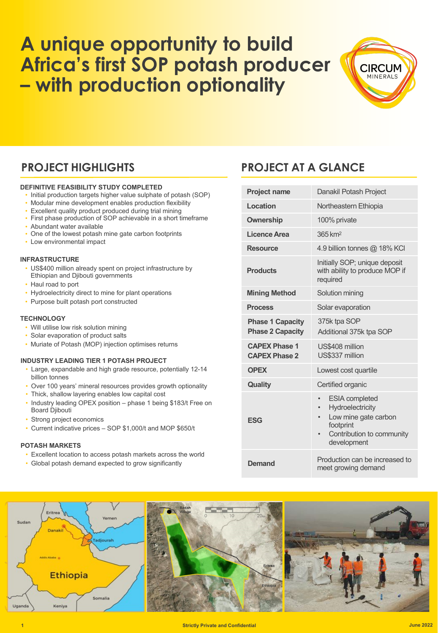# **A unique opportunity to build Africa's first SOP potash producer – with production optionality**



### **DEFINITIVE FEASIBILITY STUDY COMPLETED**

- Initial production targets higher value sulphate of potash (SOP)
- Modular mine development enables production flexibility
- Excellent quality product produced during trial mining
- First phase production of SOP achievable in a short timeframe • Abundant water available
- One of the lowest potash mine gate carbon footprints
- Low environmental impact

#### **INFRASTRUCTURE**

- US\$400 million already spent on project infrastructure by Ethiopian and Djibouti governments
- Haul road to port
- Hydroelectricity direct to mine for plant operations
- Purpose built potash port constructed

#### **TECHNOLOGY**

- Will utilise low risk solution mining
- Solar evaporation of product salts
- Muriate of Potash (MOP) injection optimises returns

### **INDUSTRY LEADING TIER 1 POTASH PROJECT**

- Large, expandable and high grade resource, potentially 12-14 billion tonnes
- Over 100 years' mineral resources provides growth optionality
- Thick, shallow layering enables low capital cost • Industry leading OPEX position – phase 1 being \$183/t Free on
- Board Djibouti
- Strong project economics
- Current indicative prices SOP \$1,000/t and MOP \$650/t

#### **POTASH MARKETS**

- Excellent location to access potash markets across the world
- Global potash demand expected to grow significantly

### **PROJECT HIGHLIGHTS PROJECT AT A GLANCE**

| <b>Project name</b>                                | Danakil Potash Project                                                                                                                                            |  |  |
|----------------------------------------------------|-------------------------------------------------------------------------------------------------------------------------------------------------------------------|--|--|
| Location                                           | Northeastern Ethiopia                                                                                                                                             |  |  |
| <b>Ownership</b>                                   | 100% private                                                                                                                                                      |  |  |
| Licence Area                                       | 365 km <sup>2</sup>                                                                                                                                               |  |  |
| <b>Resource</b>                                    | 4.9 billion tonnes @ 18% KCI                                                                                                                                      |  |  |
| <b>Products</b>                                    | Initially SOP; unique deposit<br>with ability to produce MOP if<br>required                                                                                       |  |  |
| <b>Mining Method</b>                               | Solution mining                                                                                                                                                   |  |  |
| <b>Process</b>                                     | Solar evaporation                                                                                                                                                 |  |  |
| <b>Phase 1 Capacity</b><br><b>Phase 2 Capacity</b> | 375k tpa SOP<br>Additional 375k tpa SOP                                                                                                                           |  |  |
| <b>CAPEX Phase 1</b><br><b>CAPEX Phase 2</b>       | US\$408 million<br>US\$337 million                                                                                                                                |  |  |
| <b>OPEX</b>                                        | Lowest cost quartile                                                                                                                                              |  |  |
| <b>Quality</b>                                     | Certified organic                                                                                                                                                 |  |  |
| <b>ESG</b>                                         | <b>ESIA</b> completed<br>Hydroelectricity<br>$\bullet$<br>Low mine gate carbon<br>$\bullet$<br>footprint<br>Contribution to community<br>$\bullet$<br>development |  |  |
| Demand                                             | Production can be increased to<br>meet growing demand                                                                                                             |  |  |